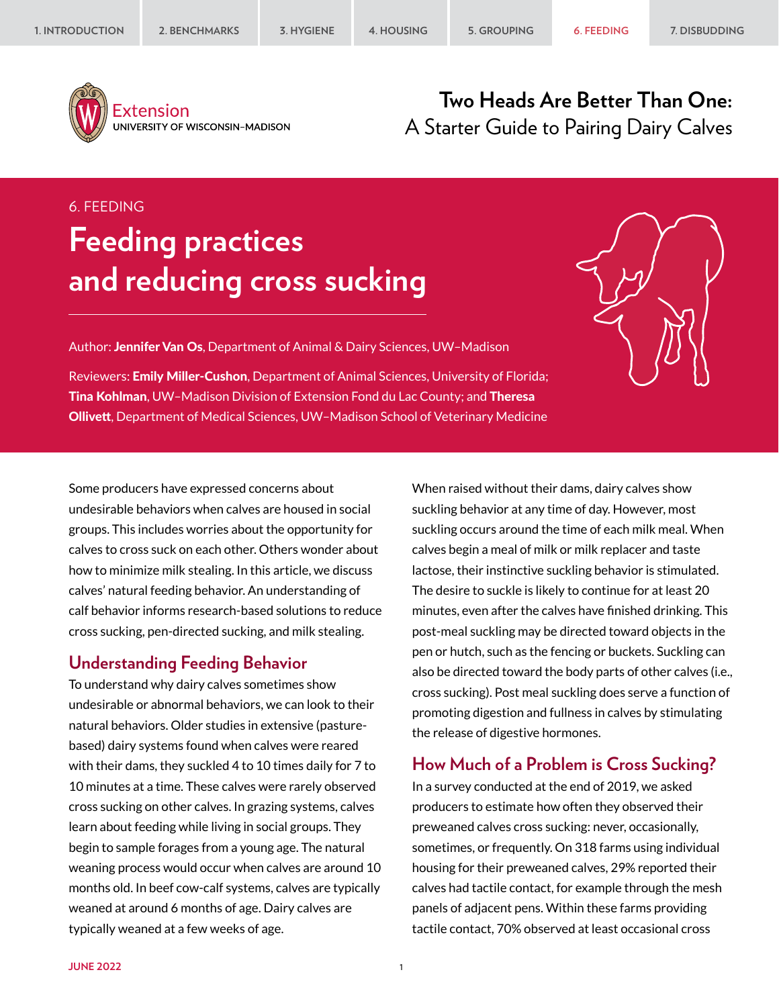

Extension UNIVERSITY OF WISCONSIN-MADISON

# **Two Heads Are Better Than One:** A Starter Guide to Pairing Dairy Calves

# 6. FEEDING **Feeding practices and reducing cross sucking**

Author: Jennifer Van Os, Department of Animal & Dairy Sciences, UW-Madison

Reviewers: **Emily Miller-Cushon**, Department of Animal Sciences, University of Florida; Tina Kohlman, UW–Madison Division of Extension Fond du Lac County; and Theresa Ollivett, Department of Medical Sciences, UW–Madison School of Veterinary Medicine

Some producers have expressed concerns about undesirable behaviors when calves are housed in social groups. This includes worries about the opportunity for calves to cross suck on each other. Others wonder about how to minimize milk stealing. In this article, we discuss calves' natural feeding behavior. An understanding of calf behavior informs research-based solutions to reduce cross sucking, pen-directed sucking, and milk stealing.

# **Understanding Feeding Behavior**

To understand why dairy calves sometimes show undesirable or abnormal behaviors, we can look to their natural behaviors. Older studies in extensive (pasturebased) dairy systems found when calves were reared with their dams, they suckled 4 to 10 times daily for 7 to 10 minutes at a time. These calves were rarely observed cross sucking on other calves. In grazing systems, calves learn about feeding while living in social groups. They begin to sample forages from a young age. The natural weaning process would occur when calves are around 10 months old. In beef cow-calf systems, calves are typically weaned at around 6 months of age. Dairy calves are typically weaned at a few weeks of age.

When raised without their dams, dairy calves show suckling behavior at any time of day. However, most suckling occurs around the time of each milk meal. When calves begin a meal of milk or milk replacer and taste lactose, their instinctive suckling behavior is stimulated. The desire to suckle is likely to continue for at least 20 minutes, even after the calves have finished drinking. This post-meal suckling may be directed toward objects in the pen or hutch, such as the fencing or buckets. Suckling can also be directed toward the body parts of other calves (i.e., cross sucking). Post meal suckling does serve a function of promoting digestion and fullness in calves by stimulating the release of digestive hormones.

# **How Much of a Problem is Cross Sucking?**

In a survey conducted at the end of 2019, we asked producers to estimate how often they observed their preweaned calves cross sucking: never, occasionally, sometimes, or frequently. On 318 farms using individual housing for their preweaned calves, 29% reported their calves had tactile contact, for example through the mesh panels of adjacent pens. Within these farms providing tactile contact, 70% observed at least occasional cross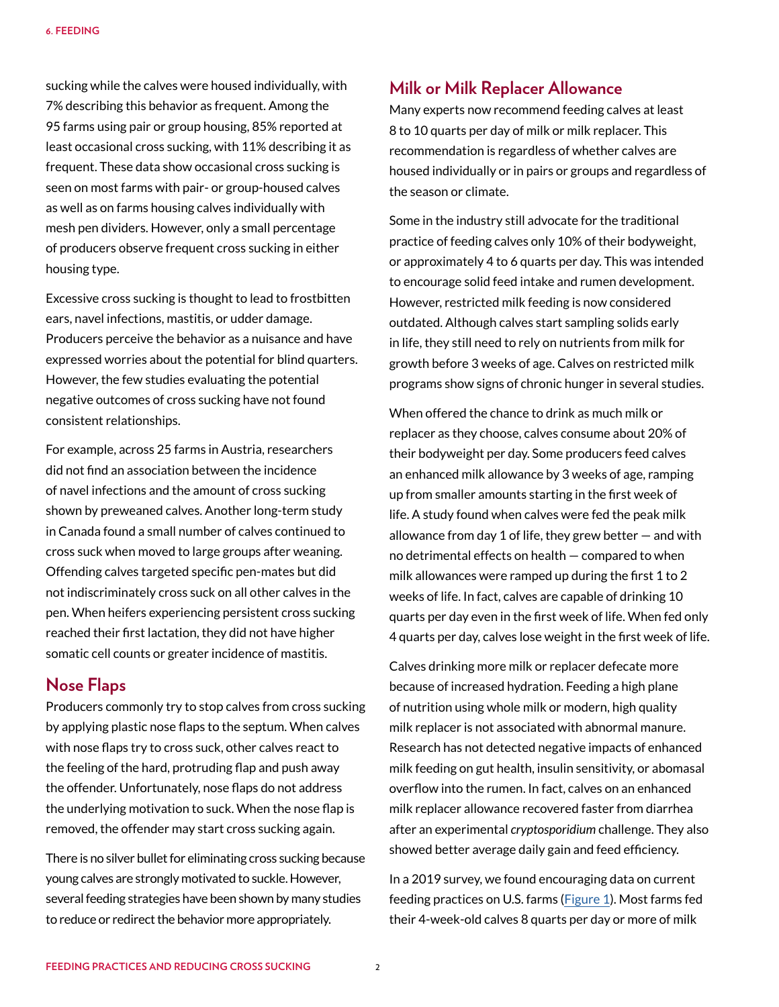sucking while the calves were housed individually, with 7% describing this behavior as frequent. Among the 95 farms using pair or group housing, 85% reported at least occasional cross sucking, with 11% describing it as frequent. These data show occasional cross sucking is seen on most farms with pair- or group-housed calves as well as on farms housing calves individually with mesh pen dividers. However, only a small percentage of producers observe frequent cross sucking in either housing type.

Excessive cross sucking is thought to lead to frostbitten ears, navel infections, mastitis, or udder damage. Producers perceive the behavior as a nuisance and have expressed worries about the potential for blind quarters. However, the few studies evaluating the potential negative outcomes of cross sucking have not found consistent relationships.

For example, across 25 farms in Austria, researchers did not find an association between the incidence of navel infections and the amount of cross sucking shown by preweaned calves. Another long-term study in Canada found a small number of calves continued to cross suck when moved to large groups after weaning. Offending calves targeted specific pen-mates but did not indiscriminately cross suck on all other calves in the pen. When heifers experiencing persistent cross sucking reached their first lactation, they did not have higher somatic cell counts or greater incidence of mastitis.

# **Nose Flaps**

Producers commonly try to stop calves from cross sucking by applying plastic nose flaps to the septum. When calves with nose flaps try to cross suck, other calves react to the feeling of the hard, protruding flap and push away the offender. Unfortunately, nose flaps do not address the underlying motivation to suck. When the nose flap is removed, the offender may start cross sucking again.

There is no silver bullet for eliminating cross sucking because young calves are strongly motivated to suckle. However, several feeding strategies have been shown by many studies to reduce or redirect the behavior more appropriately.

# **Milk or Milk Replacer Allowance**

Many experts now recommend feeding calves at least 8 to 10 quarts per day of milk or milk replacer. This recommendation is regardless of whether calves are housed individually or in pairs or groups and regardless of the season or climate.

Some in the industry still advocate for the traditional practice of feeding calves only 10% of their bodyweight, or approximately 4 to 6 quarts per day. This was intended to encourage solid feed intake and rumen development. However, restricted milk feeding is now considered outdated. Although calves start sampling solids early in life, they still need to rely on nutrients from milk for growth before 3 weeks of age. Calves on restricted milk programs show signs of chronic hunger in several studies.

When offered the chance to drink as much milk or replacer as they choose, calves consume about 20% of their bodyweight per day. Some producers feed calves an enhanced milk allowance by 3 weeks of age, ramping up from smaller amounts starting in the first week of life. A study found when calves were fed the peak milk allowance from day 1 of life, they grew better — and with no detrimental effects on health — compared to when milk allowances were ramped up during the first 1 to 2 weeks of life. In fact, calves are capable of drinking 10 quarts per day even in the first week of life. When fed only 4 quarts per day, calves lose weight in the first week of life.

Calves drinking more milk or replacer defecate more because of increased hydration. Feeding a high plane of nutrition using whole milk or modern, high quality milk replacer is not associated with abnormal manure. Research has not detected negative impacts of enhanced milk feeding on gut health, insulin sensitivity, or abomasal overflow into the rumen. In fact, calves on an enhanced milk replacer allowance recovered faster from diarrhea after an experimental *cryptosporidium* challenge. They also showed better average daily gain and feed efficiency.

In a 2019 survey, we found encouraging data on current feeding practices on U.S. farms ([Figure 1\)](#page-2-0). Most farms fed their 4-week-old calves 8 quarts per day or more of milk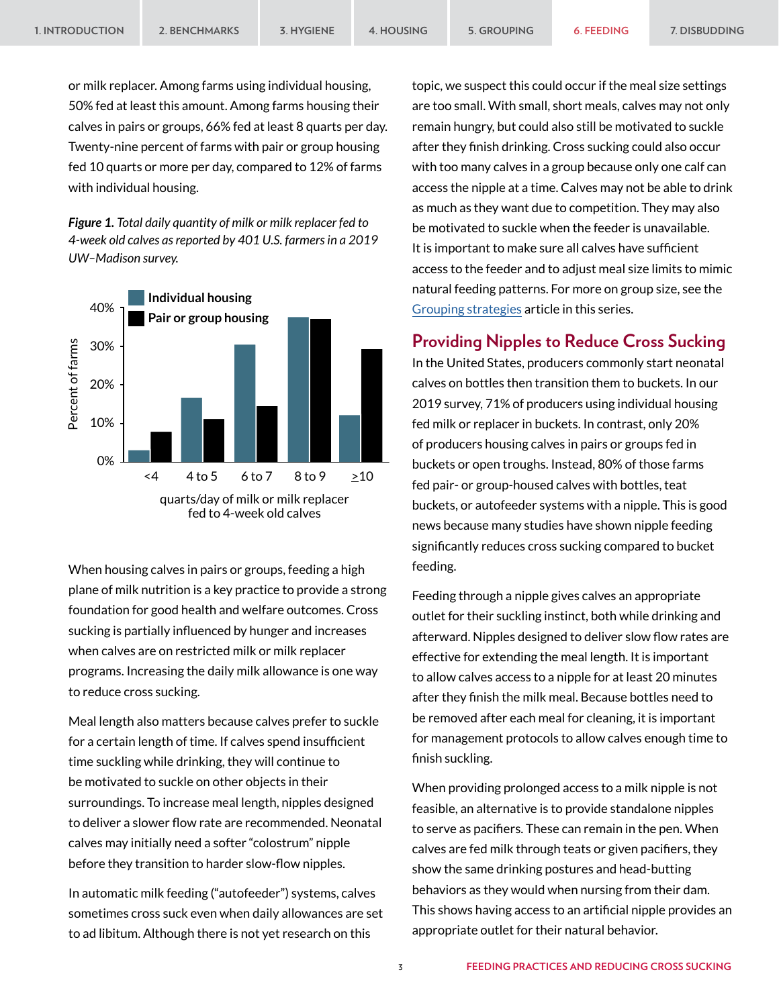or milk replacer. Among farms using individual housing, 50% fed at least this amount. Among farms housing their calves in pairs or groups, 66% fed at least 8 quarts per day. Twenty-nine percent of farms with pair or group housing fed 10 quarts or more per day, compared to 12% of farms with individual housing.

<span id="page-2-0"></span>*Figure 1. Total daily quantity of milk or milk replacer fed to 4-week old calves as reported by 401 U.S. farmers in a 2019 UW–Madison survey.*



When housing calves in pairs or groups, feeding a high plane of milk nutrition is a key practice to provide a strong foundation for good health and welfare outcomes. Cross sucking is partially influenced by hunger and increases when calves are on restricted milk or milk replacer programs. Increasing the daily milk allowance is one way to reduce cross sucking.

Meal length also matters because calves prefer to suckle for a certain length of time. If calves spend insufficient time suckling while drinking, they will continue to be motivated to suckle on other objects in their surroundings. To increase meal length, nipples designed to deliver a slower flow rate are recommended. Neonatal calves may initially need a softer "colostrum" nipple before they transition to harder slow-flow nipples.

In automatic milk feeding ("autofeeder") systems, calves sometimes cross suck even when daily allowances are set to ad libitum. Although there is not yet research on this

topic, we suspect this could occur if the meal size settings are too small. With small, short meals, calves may not only remain hungry, but could also still be motivated to suckle after they finish drinking. Cross sucking could also occur with too many calves in a group because only one calf can access the nipple at a time. Calves may not be able to drink as much as they want due to competition. They may also be motivated to suckle when the feeder is unavailable. It is important to make sure all calves have sufficient access to the feeder and to adjust meal size limits to mimic natural feeding patterns. For more on group size, see the [Grouping strategies](https://animalwelfare.cals.wisc.edu/wp-content/uploads/sites/243/2022/06/05-grouping.pdf) article in this series.

# **Providing Nipples to Reduce Cross Sucking**

In the United States, producers commonly start neonatal calves on bottles then transition them to buckets. In our 2019 survey, 71% of producers using individual housing fed milk or replacer in buckets. In contrast, only 20% of producers housing calves in pairs or groups fed in buckets or open troughs. Instead, 80% of those farms fed pair- or group-housed calves with bottles, teat buckets, or autofeeder systems with a nipple. This is good news because many studies have shown nipple feeding significantly reduces cross sucking compared to bucket feeding.

Feeding through a nipple gives calves an appropriate outlet for their suckling instinct, both while drinking and afterward. Nipples designed to deliver slow flow rates are effective for extending the meal length. It is important to allow calves access to a nipple for at least 20 minutes after they finish the milk meal. Because bottles need to be removed after each meal for cleaning, it is important for management protocols to allow calves enough time to finish suckling.

When providing prolonged access to a milk nipple is not feasible, an alternative is to provide standalone nipples to serve as pacifiers. These can remain in the pen. When calves are fed milk through teats or given pacifiers, they show the same drinking postures and head-butting behaviors as they would when nursing from their dam. This shows having access to an artificial nipple provides an appropriate outlet for their natural behavior.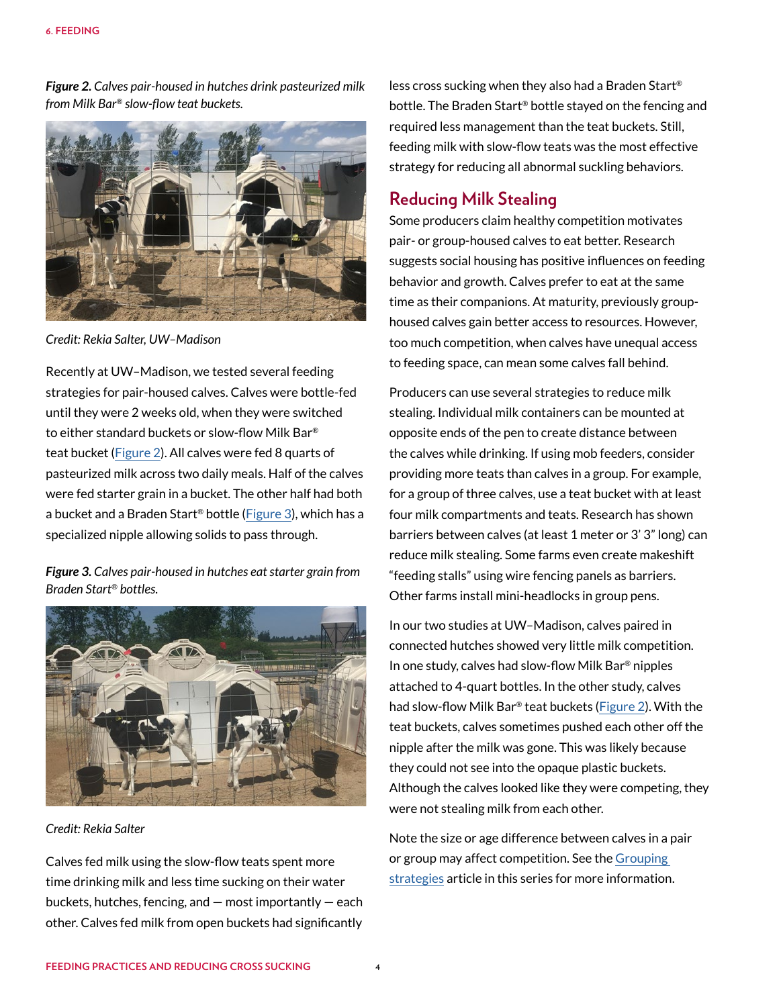<span id="page-3-0"></span>*Figure 2. Calves pair-housed in hutches drink pasteurized milk from Milk Bar® slow-flow teat buckets.*



*Credit: Rekia Salter, UW–Madison*

Recently at UW–Madison, we tested several feeding strategies for pair-housed calves. Calves were bottle-fed until they were 2 weeks old, when they were switched to either standard buckets or slow-flow Milk Bar® teat bucket [\(Figure 2](#page-3-0)). All calves were fed 8 quarts of pasteurized milk across two daily meals. Half of the calves were fed starter grain in a bucket. The other half had both a bucket and a Braden Start® bottle [\(Figure 3](#page-3-1)), which has a specialized nipple allowing solids to pass through.

<span id="page-3-1"></span>*Figure 3. Calves pair-housed in hutches eat starter grain from Braden Start® bottles.*



*Credit: Rekia Salter*

Calves fed milk using the slow-flow teats spent more time drinking milk and less time sucking on their water buckets, hutches, fencing, and — most importantly — each other. Calves fed milk from open buckets had significantly

less cross sucking when they also had a Braden Start® bottle. The Braden Start® bottle stayed on the fencing and required less management than the teat buckets. Still, feeding milk with slow-flow teats was the most effective strategy for reducing all abnormal suckling behaviors.

# **Reducing Milk Stealing**

Some producers claim healthy competition motivates pair- or group-housed calves to eat better. Research suggests social housing has positive influences on feeding behavior and growth. Calves prefer to eat at the same time as their companions. At maturity, previously grouphoused calves gain better access to resources. However, too much competition, when calves have unequal access to feeding space, can mean some calves fall behind.

Producers can use several strategies to reduce milk stealing. Individual milk containers can be mounted at opposite ends of the pen to create distance between the calves while drinking. If using mob feeders, consider providing more teats than calves in a group. For example, for a group of three calves, use a teat bucket with at least four milk compartments and teats. Research has shown barriers between calves (at least 1 meter or 3' 3" long) can reduce milk stealing. Some farms even create makeshift "feeding stalls" using wire fencing panels as barriers. Other farms install mini-headlocks in group pens.

In our two studies at UW–Madison, calves paired in connected hutches showed very little milk competition. In one study, calves had slow-flow Milk Bar® nipples attached to 4-quart bottles. In the other study, calves had slow-flow Milk Bar® teat buckets [\(Figure 2](#page-3-0)). With the teat buckets, calves sometimes pushed each other off the nipple after the milk was gone. This was likely because they could not see into the opaque plastic buckets. Although the calves looked like they were competing, they were not stealing milk from each other.

Note the size or age difference between calves in a pair or group may affect competition. See the [Grouping](https://animalwelfare.cals.wisc.edu/wp-content/uploads/sites/243/2022/06/05-grouping.pdf)  [strategies](https://animalwelfare.cals.wisc.edu/wp-content/uploads/sites/243/2022/06/05-grouping.pdf) article in this series for more information.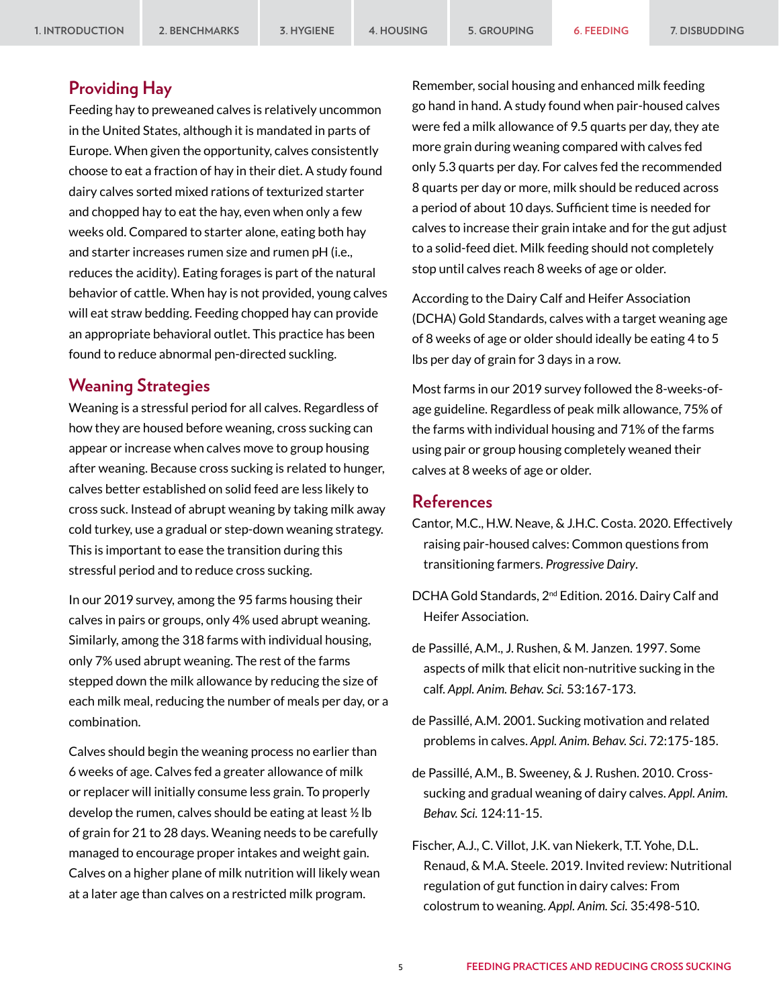# **Providing Hay**

Feeding hay to preweaned calves is relatively uncommon in the United States, although it is mandated in parts of Europe. When given the opportunity, calves consistently choose to eat a fraction of hay in their diet. A study found dairy calves sorted mixed rations of texturized starter and chopped hay to eat the hay, even when only a few weeks old. Compared to starter alone, eating both hay and starter increases rumen size and rumen pH (i.e., reduces the acidity). Eating forages is part of the natural behavior of cattle. When hay is not provided, young calves will eat straw bedding. Feeding chopped hay can provide an appropriate behavioral outlet. This practice has been found to reduce abnormal pen-directed suckling.

#### **Weaning Strategies**

Weaning is a stressful period for all calves. Regardless of how they are housed before weaning, cross sucking can appear or increase when calves move to group housing after weaning. Because cross sucking is related to hunger, calves better established on solid feed are less likely to cross suck. Instead of abrupt weaning by taking milk away cold turkey, use a gradual or step-down weaning strategy. This is important to ease the transition during this stressful period and to reduce cross sucking.

In our 2019 survey, among the 95 farms housing their calves in pairs or groups, only 4% used abrupt weaning. Similarly, among the 318 farms with individual housing, only 7% used abrupt weaning. The rest of the farms stepped down the milk allowance by reducing the size of each milk meal, reducing the number of meals per day, or a combination.

Calves should begin the weaning process no earlier than 6 weeks of age. Calves fed a greater allowance of milk or replacer will initially consume less grain. To properly develop the rumen, calves should be eating at least ½ lb of grain for 21 to 28 days. Weaning needs to be carefully managed to encourage proper intakes and weight gain. Calves on a higher plane of milk nutrition will likely wean at a later age than calves on a restricted milk program.

Remember, social housing and enhanced milk feeding go hand in hand. A study found when pair-housed calves were fed a milk allowance of 9.5 quarts per day, they ate more grain during weaning compared with calves fed only 5.3 quarts per day. For calves fed the recommended 8 quarts per day or more, milk should be reduced across a period of about 10 days. Sufficient time is needed for calves to increase their grain intake and for the gut adjust to a solid-feed diet. Milk feeding should not completely stop until calves reach 8 weeks of age or older.

According to the Dairy Calf and Heifer Association (DCHA) Gold Standards, calves with a target weaning age of 8 weeks of age or older should ideally be eating 4 to 5 lbs per day of grain for 3 days in a row.

Most farms in our 2019 survey followed the 8-weeks-ofage guideline. Regardless of peak milk allowance, 75% of the farms with individual housing and 71% of the farms using pair or group housing completely weaned their calves at 8 weeks of age or older.

### **References**

- Cantor, M.C., H.W. Neave, & J.H.C. Costa. 2020. Effectively raising pair-housed calves: Common questions from transitioning farmers. *Progressive Dairy*.
- DCHA Gold Standards, 2nd Edition. 2016. Dairy Calf and Heifer Association.
- de Passillé, A.M., J. Rushen, & M. Janzen. 1997. Some aspects of milk that elicit non-nutritive sucking in the calf. *Appl. Anim. Behav. Sci.* 53:167-173.
- de Passillé, A.M. 2001. Sucking motivation and related problems in calves. *Appl. Anim. Behav. Sci*. 72:175-185.
- de Passillé, A.M., B. Sweeney, & J. Rushen. 2010. Crosssucking and gradual weaning of dairy calves. *Appl. Anim. Behav. Sci.* 124:11-15.
- Fischer, A.J., C. Villot, J.K. van Niekerk, T.T. Yohe, D.L. Renaud, & M.A. Steele. 2019. Invited review: Nutritional regulation of gut function in dairy calves: From colostrum to weaning. *Appl. Anim. Sci.* 35:498-510.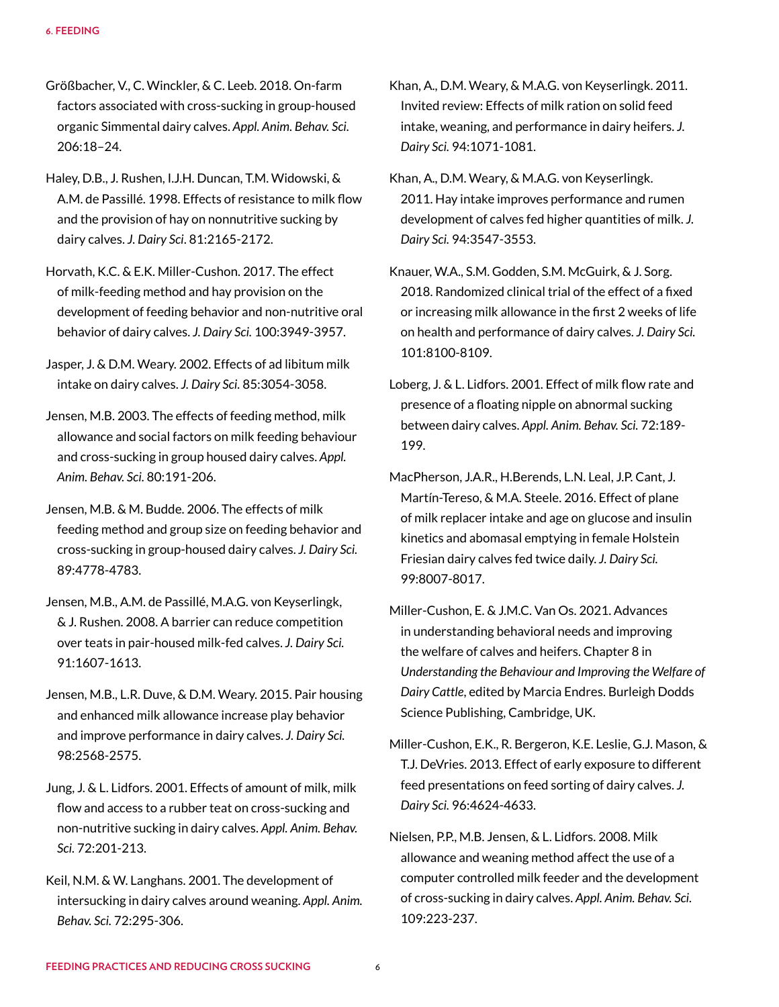- Größbacher, V., C. Winckler, & C. Leeb. 2018. On-farm factors associated with cross-sucking in group-housed organic Simmental dairy calves. *Appl. Anim. Behav. Sci.* 206:18–24.
- Haley, D.B., J. Rushen, I.J.H. Duncan, T.M. Widowski, & A.M. de Passillé. 1998. Effects of resistance to milk flow and the provision of hay on nonnutritive sucking by dairy calves. *J. Dairy Sci*. 81:2165-2172.
- Horvath, K.C. & E.K. Miller-Cushon. 2017. The effect of milk-feeding method and hay provision on the development of feeding behavior and non-nutritive oral behavior of dairy calves. *J. Dairy Sci.* 100:3949-3957.

Jasper, J. & D.M. Weary. 2002. Effects of ad libitum milk intake on dairy calves. *J. Dairy Sci.* 85:3054-3058.

- Jensen, M.B. 2003. The effects of feeding method, milk allowance and social factors on milk feeding behaviour and cross-sucking in group housed dairy calves. *Appl. Anim. Behav. Sci.* 80:191-206.
- Jensen, M.B. & M. Budde. 2006. The effects of milk feeding method and group size on feeding behavior and cross-sucking in group-housed dairy calves. *J. Dairy Sci.* 89:4778-4783.
- Jensen, M.B., A.M. de Passillé, M.A.G. von Keyserlingk, & J. Rushen. 2008. A barrier can reduce competition over teats in pair-housed milk-fed calves. *J. Dairy Sci.* 91:1607-1613.
- Jensen, M.B., L.R. Duve, & D.M. Weary. 2015. Pair housing and enhanced milk allowance increase play behavior and improve performance in dairy calves. *J. Dairy Sci.* 98:2568-2575.
- Jung, J. & L. Lidfors. 2001. Effects of amount of milk, milk flow and access to a rubber teat on cross-sucking and non-nutritive sucking in dairy calves. *Appl. Anim. Behav. Sci.* 72:201-213.
- Keil, N.M. & W. Langhans. 2001. The development of intersucking in dairy calves around weaning. *Appl. Anim. Behav. Sci.* 72:295-306.

Khan, A., D.M. Weary, & M.A.G. von Keyserlingk. 2011. Invited review: Effects of milk ration on solid feed intake, weaning, and performance in dairy heifers. *J. Dairy Sci.* 94:1071-1081.

- Khan, A., D.M. Weary, & M.A.G. von Keyserlingk. 2011. Hay intake improves performance and rumen development of calves fed higher quantities of milk. *J. Dairy Sci.* 94:3547-3553.
- Knauer, W.A., S.M. Godden, S.M. McGuirk, & J. Sorg. 2018. Randomized clinical trial of the effect of a fixed or increasing milk allowance in the first 2 weeks of life on health and performance of dairy calves. *J. Dairy Sci.* 101:8100-8109.
- Loberg, J. & L. Lidfors. 2001. Effect of milk flow rate and presence of a floating nipple on abnormal sucking between dairy calves. *Appl. Anim. Behav. Sci.* 72:189- 199.
- MacPherson, J.A.R., H.Berends, L.N. Leal, J.P. Cant, J. Martín-Tereso, & M.A. Steele. 2016. Effect of plane of milk replacer intake and age on glucose and insulin kinetics and abomasal emptying in female Holstein Friesian dairy calves fed twice daily. *J. Dairy Sci.* 99:8007-8017.
- Miller-Cushon, E. & J.M.C. Van Os. 2021. Advances in understanding behavioral needs and improving the welfare of calves and heifers. Chapter 8 in *Understanding the Behaviour and Improving the Welfare of Dairy Cattle*, edited by Marcia Endres. Burleigh Dodds Science Publishing, Cambridge, UK.
- Miller-Cushon, E.K., R. Bergeron, K.E. Leslie, G.J. Mason, & T.J. DeVries. 2013. Effect of early exposure to different feed presentations on feed sorting of dairy calves. *J. Dairy Sci.* 96:4624-4633.
- Nielsen, P.P., M.B. Jensen, & L. Lidfors. 2008. Milk allowance and weaning method affect the use of a computer controlled milk feeder and the development of cross-sucking in dairy calves. *Appl. Anim. Behav. Sci.* 109:223-237.